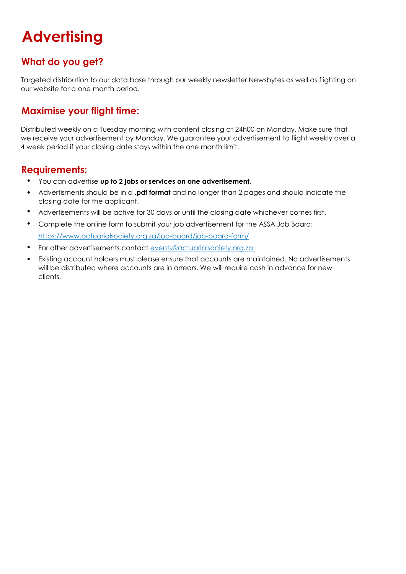# **Advertising**

### What do you get?

Targeted distribution to our data base through our weekly newsletter Newsbytes as well as flighting on our website for a one month period.

### Maximise your flight time:

Distributed weekly on a Tuesday morning with content closing at 24h00 on Monday. Make sure that we receive your advertisement by Monday. We guarantee your advertisement to flight weekly over a 4 week period if your closing date stays within the one month limit.

#### Requirements:

- You can advertise up to 2 jobs or services on one advertisement.
- Advertisments should be in a .pdf format and no longer than 2 pages and should indicate the closing date for the applicant.
- Advertisements will be active for 30 days or until the closing date whichever comes first.
- Complete the online form to submit your job advertisement for the ASSA Job Board: https://www.actuarialsociety.org.za/job-board/job-board-form/
- For other advertisements contact events@actuarialsociety.org.za
- Existing account holders must please ensure that accounts are maintained. No advertisements will be distributed where accounts are in arrears. We will require cash in advance for new clients.